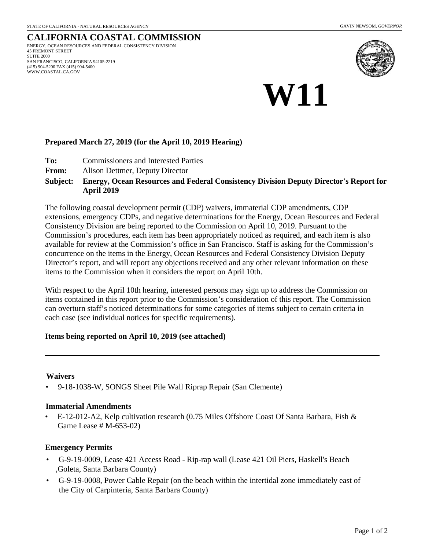#### **CALIFORNIA COASTAL COMMISSION** ENERGY, OCEAN RESOURCES AND FEDERAL CONSISTENCY DIVISION 45 FREMONT STREET SUITE 2000 SAN FRANCISCO, CALIFORNIA 94105-2219 (415) 904-5200 FAX (415) 904-5400 WWW.COASTAL.CA.GOV





### **Prepared March 27, 2019 (for the April 10, 2019 Hearing)**

- **To:** Commissioners and Interested Parties
- **From:** Alison Dettmer, Deputy Director

#### **Energy, Ocean Resources and Federal Consistency Division Deputy Director's Report for April 2019 Subject:**

The following coastal development permit (CDP) waivers, immaterial CDP amendments, CDP extensions, emergency CDPs, and negative determinations for the Energy, Ocean Resources and Federal Consistency Division are being reported to the Commission on April 10, 2019. Pursuant to the Commission's procedures, each item has been appropriately noticed as required, and each item is also available for review at the Commission's office in San Francisco. Staff is asking for the Commission's concurrence on the items in the Energy, Ocean Resources and Federal Consistency Division Deputy Director's report, and will report any objections received and any other relevant information on these items to the Commission when it considers the report on April 10th.

With respect to the April 10th hearing, interested persons may sign up to address the Commission on items contained in this report prior to the Commission's consideration of this report. The Commission can overturn staff's noticed determinations for some categories of items subject to certain criteria in each case (see individual notices for specific requirements).

#### **Items being reported on April 10, 2019 (see attached)**

#### **Waivers**

• 9-18-1038-W, SONGS Sheet Pile Wall Riprap Repair (San Clemente)

#### **Immaterial Amendments**

• E-12-012-A2, Kelp cultivation research (0.75 Miles Offshore Coast Of Santa Barbara, Fish & Game Lease # M-653-02)

#### **Emergency Permits**

- G-9-19-0009, Lease 421 Access Road Rip-rap wall (Lease 421 Oil Piers, Haskell's Beach ,Goleta, Santa Barbara County)
- G-9-19-0008, Power Cable Repair (on the beach within the intertidal zone immediately east of the City of Carpinteria, Santa Barbara County)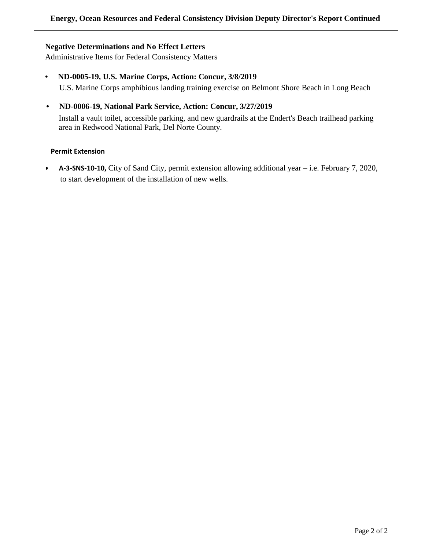#### **Negative Determinations and No Effect Letters**

Administrative Items for Federal Consistency Matters

- **ND-0005-19, U.S. Marine Corps, Action: Concur, 3/8/2019** U.S. Marine Corps amphibious landing training exercise on Belmont Shore Beach in Long Beach
- **ND-0006-19, National Park Service, Action: Concur, 3/27/2019**

Install a vault toilet, accessible parking, and new guardrails at the Endert's Beach trailhead parking area in Redwood National Park, Del Norte County.

#### **Permit Extension**

• **A-3-SNS-10-10,** City of Sand City, permit extension allowing additional year – i.e. February 7, 2020, to start development of the installation of new wells.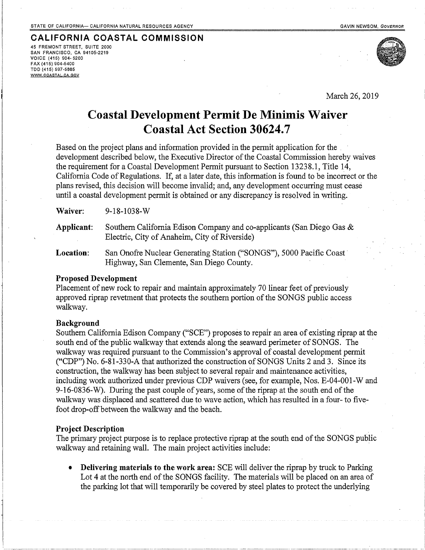#### **CALIFORNIA COASTAL COMMISSION** 45 FREMONT STREET. SUITE 2000 SAN FRANCISCO, CA 94105-2219 VOICE (415) 904-5200 FAX (415) 904-5400 TDD (415) 597-5885

 $Q - 1Q - 1Q3Q - W$ 

WWW.COASTAL.CA.GOV



March 26, 2019

# **Coastal Development Permit De Minimis Waiver Coastal Act Section 30624.7**

Based on the project plans and information provided in the permit application for the development described below, the Executive Director of the Coastal Commission hereby waives the requirement for a Coastal Development Permit pursuant to Section 13238.1, Title 14, California Code of Regulations. If, at a later date, this information is found to be incorrect or the plans revised, this decision will become invalid; and, any development occurring must cease until a coastal development permit is obtained or any discrepancy is resolved in writing.

| Applicant: | Southern California Edison Company and co-applicants (San Diego Gas &<br>Electric, City of Anaheim, City of Riverside) |
|------------|------------------------------------------------------------------------------------------------------------------------|

San Onofre Nuclear Generating Station ("SONGS"), 5000 Pacific Coast Location: Highway, San Clemente, San Diego County.

#### **Proposed Development**

Placement of new rock to repair and maintain approximately 70 linear feet of previously approved riprap revetment that protects the southern portion of the SONGS public access walkway.

#### **Background**

Woiyar.

Southern California Edison Company ("SCE") proposes to repair an area of existing riprap at the south end of the public walkway that extends along the seaward perimeter of SONGS. The walkway was required pursuant to the Commission's approval of coastal development permit ("CDP") No. 6-81-330-A that authorized the construction of SONGS Units 2 and 3. Since its construction, the walkway has been subject to several repair and maintenance activities, including work authorized under previous CDP waivers (see, for example, Nos. E-04-001-W and 9-16-0836-W). During the past couple of years, some of the riprap at the south end of the walkway was displaced and scattered due to wave action, which has resulted in a four- to fivefoot drop-off between the walkway and the beach.

#### **Project Description**

The primary project purpose is to replace protective riprap at the south end of the SONGS public walkway and retaining wall. The main project activities include:

Delivering materials to the work area: SCE will deliver the riprap by truck to Parking Lot 4 at the north end of the SONGS facility. The materials will be placed on an area of the parking lot that will temporarily be covered by steel plates to protect the underlying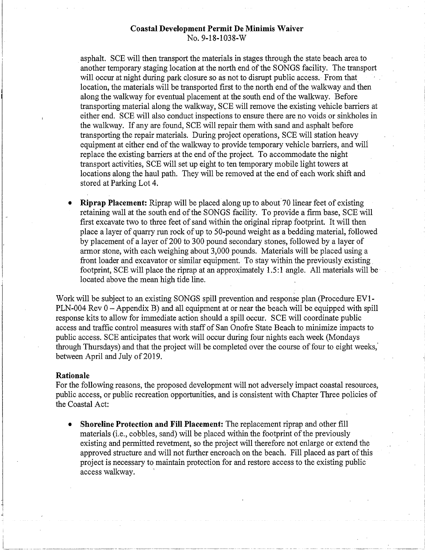#### **Coastal Development Permit De Minimis Waiver** No. 9-18-1038-W

asphalt. SCE will then transport the materials in stages through the state beach area to another temporary staging location at the north end of the SONGS facility. The transport will occur at night during park closure so as not to disrupt public access. From that location, the materials will be transported first to the north end of the walkway and then along the walkway for eventual placement at the south end of the walkway. Before transporting material along the walkway, SCE will remove the existing vehicle barriers at either end. SCE will also conduct inspections to ensure there are no voids or sinkholes in the walkway. If any are found, SCE will repair them with sand and asphalt before transporting the repair materials. During project operations, SCE will station heavy equipment at either end of the walkway to provide temporary vehicle barriers, and will replace the existing barriers at the end of the project. To accommodate the night transport activities, SCE will set up eight to ten temporary mobile light towers at locations along the haul path. They will be removed at the end of each work shift and stored at Parking Lot 4.

**Riprap Placement:** Riprap will be placed along up to about 70 linear feet of existing retaining wall at the south end of the SONGS facility. To provide a firm base, SCE will first excavate two to three feet of sand within the original riprap footprint. It will then place a layer of quarry run rock of up to 50-pound weight as a bedding material, followed by placement of a layer of 200 to 300 pound secondary stones, followed by a layer of armor stone, with each weighing about 3,000 pounds. Materials will be placed using a front loader and excavator or similar equipment. To stay within the previously existing footprint, SCE will place the riprap at an approximately 1.5:1 angle. All materials will be located above the mean high tide line.

Work will be subject to an existing SONGS spill prevention and response plan (Procedure EV1-PLN-004 Rev 0 – Appendix B) and all equipment at or near the beach will be equipped with spill response kits to allow for immediate action should a spill occur. SCE will coordinate public access and traffic control measures with staff of San Onofre State Beach to minimize impacts to public access. SCE anticipates that work will occur during four nights each week (Mondays through Thursdays) and that the project will be completed over the course of four to eight weeks, between April and July of 2019.

#### Rationale

For the following reasons, the proposed development will not adversely impact coastal resources, public access, or public recreation opportunities, and is consistent with Chapter Three policies of the Coastal Act:

Shoreline Protection and Fill Placement: The replacement riprap and other fill  $\bullet$ materials (i.e., cobbles, sand) will be placed within the footprint of the previously existing and permitted revetment, so the project will therefore not enlarge or extend the approved structure and will not further encroach on the beach. Fill placed as part of this project is necessary to maintain protection for and restore access to the existing public access walkway.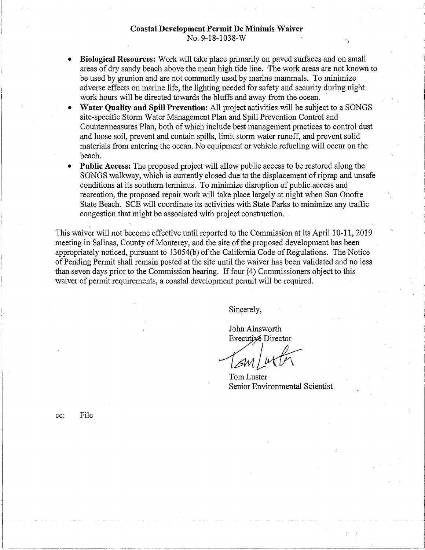#### **Coastal Development Permit De Minimis Waiver** No. 9-18-1038-W

- Biological Resources: Work will take place primarily on paved surfaces and on small areas of dry sandy beach above the mean high tide line. The work areas are not known to be used by grunion and are not commonly used by marine mammals. To minimize adverse effects on marine life, the lighting needed for safety and security during night work hours will be directed towards the bluffs and away from the ocean.
- Water Quality and Spill Prevention: All project activities will be subject to a SONGS site-specific Storm Water Management Plan and Spill Prevention Control and Countermeasures Plan, both of which include best management practices to control dust and loose soil, prevent and contain spills, limit storm water runoff, and prevent solid materials from entering the ocean. No equipment or vehicle refueling will occur on the beach.
- **Public Access:** The proposed project will allow public access to be restored along the SONGS walkway, which is currently closed due to the displacement of riprap and unsafe conditions at its southern terminus. To minimize disruption of public access and recreation, the proposed repair work will take place largely at night when San Onofre State Beach. SCE will coordinate its activities with State Parks to minimize any traffic congestion that might be associated with project construction.

This waiver will not become effective until reported to the Commission at its April 10-11, 2019 meeting in Salinas, County of Monterey, and the site of the proposed development has been appropriately noticed, pursuant to 13054(b) of the California Code of Regulations. The Notice of Pending Permit shall remain posted at the site until the waiver has been validated and no less than seven days prior to the Commission hearing. If four (4) Commissioners object to this waiver of permit requirements, a coastal development permit will be required.

Sincerely,

John Ainsworth Executive Director

Tom Luster Senior Environmental Scientist

cc:

File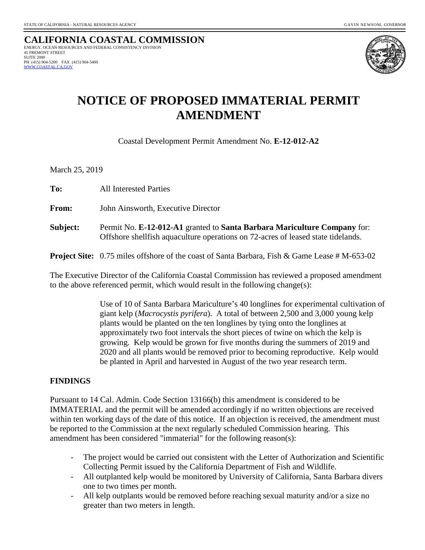**CALIFORNIA COASTAL COMMISSION** ENERGY, OCEAN RESOURCES AND FEDERAL CONSISTENCY DIVISION 45 FREMONT STREET SUITE 2000 PH (415) 904-5200 FAX (415) 904-5400  [WWW.COASTAL.CA.GOV](http://www.coastal.ca.gov/)



# **NOTICE OF PROPOSED IMMATERIAL PERMIT AMENDMENT**

Coastal Development Permit Amendment No. **E-12-012-A2**

March 25, 2019

**To:**All Interested Parties

**From:** John Ainsworth, Executive Director

**Subject:** Permit No. **E-12-012-A1** granted to **Santa Barbara Mariculture Company** for: Offshore shellfish aquaculture operations on 72-acres of leased state tidelands.

**Project Site:** 0.75 miles offshore of the coast of Santa Barbara, Fish & Game Lease # M-653-02

The Executive Director of the California Coastal Commission has reviewed a proposed amendment to the above referenced permit, which would result in the following change(s):

> Use of 10 of Santa Barbara Mariculture's 40 longlines for experimental cultivation of giant kelp (*Macrocystis pyrifera*). A total of between 2,500 and 3,000 young kelp plants would be planted on the ten longlines by tying onto the longlines at approximately two foot intervals the short pieces of twine on which the kelp is growing. Kelp would be grown for five months during the summers of 2019 and 2020 and all plants would be removed prior to becoming reproductive. Kelp would be planted in April and harvested in August of the two year research term.

# **FINDINGS**

Pursuant to 14 Cal. Admin. Code Section 13166(b) this amendment is considered to be IMMATERIAL and the permit will be amended accordingly if no written objections are received within ten working days of the date of this notice. If an objection is received, the amendment must be reported to the Commission at the next regularly scheduled Commission hearing. This amendment has been considered "immaterial" for the following reason(s):

- The project would be carried out consistent with the Letter of Authorization and Scientific Collecting Permit issued by the California Department of Fish and Wildlife.
- All outplanted kelp would be monitored by University of California, Santa Barbara divers one to two times per month.
- All kelp outplants would be removed before reaching sexual maturity and/or a size no greater than two meters in length.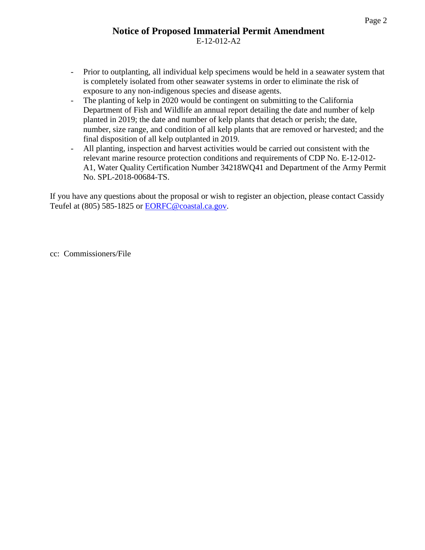# **Notice of Proposed Immaterial Permit Amendment** E-12-012-A2

- Prior to outplanting, all individual kelp specimens would be held in a seawater system that is completely isolated from other seawater systems in order to eliminate the risk of exposure to any non-indigenous species and disease agents.
- The planting of kelp in 2020 would be contingent on submitting to the California Department of Fish and Wildlife an annual report detailing the date and number of kelp planted in 2019; the date and number of kelp plants that detach or perish; the date, number, size range, and condition of all kelp plants that are removed or harvested; and the final disposition of all kelp outplanted in 2019.
- All planting, inspection and harvest activities would be carried out consistent with the relevant marine resource protection conditions and requirements of CDP No. E-12-012- A1, Water Quality Certification Number 34218WQ41 and Department of the Army Permit No. SPL-2018-00684-TS.

If you have any questions about the proposal or wish to register an objection, please contact Cassidy Teufel at (805) 585-1825 or [EORFC@coastal.ca.gov.](mailto:EORFC@coastal.ca.gov)

cc: Commissioners/File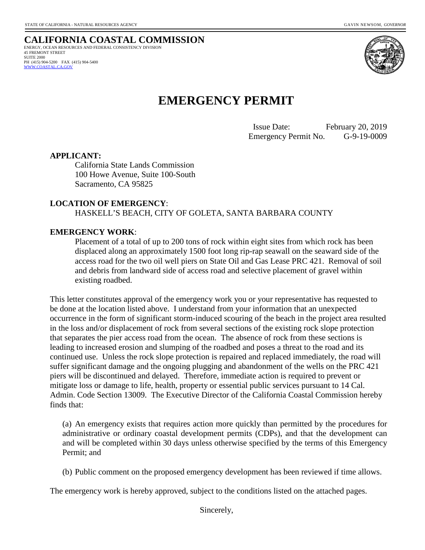**CALIFORNIA COASTAL COMMISSION** ENERGY, OCEAN RESOURCES AND FEDERAL CONSISTENCY DIVISION 45 FREMONT STREET SUITE 2000 PH (415) 904-5200 FAX (415) 904-5400  [WWW.COASTAL.CA.GOV](http://www.coastal.ca.gov/)



# **EMERGENCY PERMIT**

 Issue Date: February 20, 2019 Emergency Permit No. G-9-19-0009

#### **APPLICANT:**

California State Lands Commission 100 Howe Avenue, Suite 100-South Sacramento, CA 95825

#### **LOCATION OF EMERGENCY**:

HASKELL'S BEACH, CITY OF GOLETA, SANTA BARBARA COUNTY

#### **EMERGENCY WORK**:

Placement of a total of up to 200 tons of rock within eight sites from which rock has been displaced along an approximately 1500 foot long rip-rap seawall on the seaward side of the access road for the two oil well piers on State Oil and Gas Lease PRC 421. Removal of soil and debris from landward side of access road and selective placement of gravel within existing roadbed.

This letter constitutes approval of the emergency work you or your representative has requested to be done at the location listed above. I understand from your information that an unexpected occurrence in the form of significant storm-induced scouring of the beach in the project area resulted in the loss and/or displacement of rock from several sections of the existing rock slope protection that separates the pier access road from the ocean. The absence of rock from these sections is leading to increased erosion and slumping of the roadbed and poses a threat to the road and its continued use. Unless the rock slope protection is repaired and replaced immediately, the road will suffer significant damage and the ongoing plugging and abandonment of the wells on the PRC 421 piers will be discontinued and delayed. Therefore, immediate action is required to prevent or mitigate loss or damage to life, health, property or essential public services pursuant to 14 Cal. Admin. Code Section 13009. The Executive Director of the California Coastal Commission hereby finds that:

(a) An emergency exists that requires action more quickly than permitted by the procedures for administrative or ordinary coastal development permits (CDPs), and that the development can and will be completed within 30 days unless otherwise specified by the terms of this Emergency Permit; and

(b) Public comment on the proposed emergency development has been reviewed if time allows.

The emergency work is hereby approved, subject to the conditions listed on the attached pages.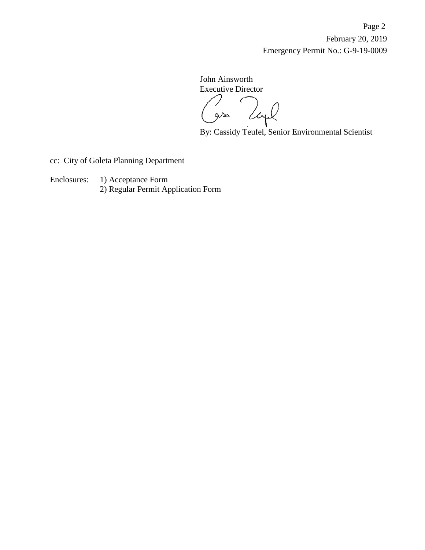Page 2 February 20, 2019 Emergency Permit No.: G-9-19-0009

John Ainsworth Executive Director C

 $Q/\lambda$ 

By: Cassidy Teufel, Senior Environmental Scientist

cc: City of Goleta Planning Department

Enclosures: 1) Acceptance Form 2) Regular Permit Application Form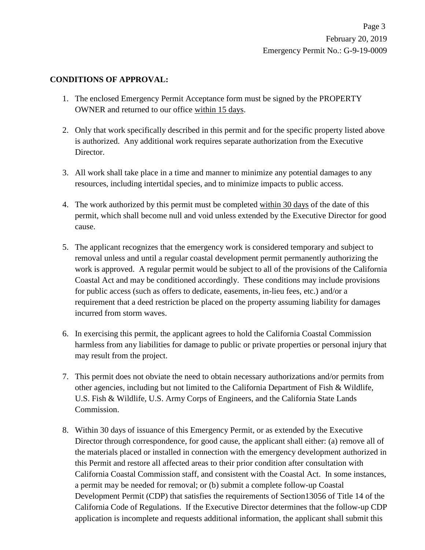## **CONDITIONS OF APPROVAL:**

- 1. The enclosed Emergency Permit Acceptance form must be signed by the PROPERTY OWNER and returned to our office within 15 days.
- 2. Only that work specifically described in this permit and for the specific property listed above is authorized. Any additional work requires separate authorization from the Executive Director.
- 3. All work shall take place in a time and manner to minimize any potential damages to any resources, including intertidal species, and to minimize impacts to public access.
- 4. The work authorized by this permit must be completed within 30 days of the date of this permit, which shall become null and void unless extended by the Executive Director for good cause.
- 5. The applicant recognizes that the emergency work is considered temporary and subject to removal unless and until a regular coastal development permit permanently authorizing the work is approved. A regular permit would be subject to all of the provisions of the California Coastal Act and may be conditioned accordingly. These conditions may include provisions for public access (such as offers to dedicate, easements, in-lieu fees, etc.) and/or a requirement that a deed restriction be placed on the property assuming liability for damages incurred from storm waves.
- 6. In exercising this permit, the applicant agrees to hold the California Coastal Commission harmless from any liabilities for damage to public or private properties or personal injury that may result from the project.
- 7. This permit does not obviate the need to obtain necessary authorizations and/or permits from other agencies, including but not limited to the California Department of Fish & Wildlife, U.S. Fish & Wildlife, U.S. Army Corps of Engineers, and the California State Lands Commission.
- 8. Within 30 days of issuance of this Emergency Permit, or as extended by the Executive Director through correspondence, for good cause, the applicant shall either: (a) remove all of the materials placed or installed in connection with the emergency development authorized in this Permit and restore all affected areas to their prior condition after consultation with California Coastal Commission staff, and consistent with the Coastal Act. In some instances, a permit may be needed for removal; or (b) submit a complete follow-up Coastal Development Permit (CDP) that satisfies the requirements of Section13056 of Title 14 of the California Code of Regulations. If the Executive Director determines that the follow-up CDP application is incomplete and requests additional information, the applicant shall submit this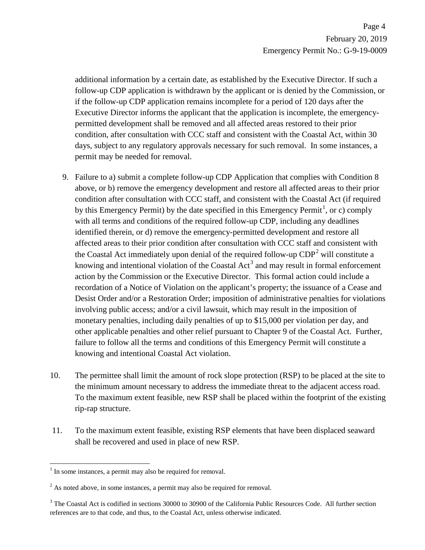additional information by a certain date, as established by the Executive Director. If such a follow-up CDP application is withdrawn by the applicant or is denied by the Commission, or if the follow-up CDP application remains incomplete for a period of 120 days after the Executive Director informs the applicant that the application is incomplete, the emergencypermitted development shall be removed and all affected areas restored to their prior condition, after consultation with CCC staff and consistent with the Coastal Act, within 30 days, subject to any regulatory approvals necessary for such removal. In some instances, a permit may be needed for removal.

- 9. Failure to a) submit a complete follow-up CDP Application that complies with Condition 8 above, or b) remove the emergency development and restore all affected areas to their prior condition after consultation with CCC staff, and consistent with the Coastal Act (if required by this Emergency Permit) by the date specified in this Emergency Permit<sup>[1](#page-11-0)</sup>, or c) comply with all terms and conditions of the required follow-up CDP, including any deadlines identified therein, or d) remove the emergency-permitted development and restore all affected areas to their prior condition after consultation with CCC staff and consistent with the Coastal Act immediately upon denial of the required follow-up  $CDP<sup>2</sup>$  $CDP<sup>2</sup>$  $CDP<sup>2</sup>$  will constitute a knowing and intentional violation of the Coastal Act<sup>[3](#page-11-2)</sup> and may result in formal enforcement action by the Commission or the Executive Director. This formal action could include a recordation of a Notice of Violation on the applicant's property; the issuance of a Cease and Desist Order and/or a Restoration Order; imposition of administrative penalties for violations involving public access; and/or a civil lawsuit, which may result in the imposition of monetary penalties, including daily penalties of up to \$15,000 per violation per day, and other applicable penalties and other relief pursuant to Chapter 9 of the Coastal Act. Further, failure to follow all the terms and conditions of this Emergency Permit will constitute a knowing and intentional Coastal Act violation.
- 10. The permittee shall limit the amount of rock slope protection (RSP) to be placed at the site to the minimum amount necessary to address the immediate threat to the adjacent access road. To the maximum extent feasible, new RSP shall be placed within the footprint of the existing rip-rap structure.
- 11. To the maximum extent feasible, existing RSP elements that have been displaced seaward shall be recovered and used in place of new RSP.

 $\overline{a}$ 

<span id="page-11-0"></span> $<sup>1</sup>$  In some instances, a permit may also be required for removal.</sup>

<span id="page-11-1"></span> $2^2$  As noted above, in some instances, a permit may also be required for removal.

<span id="page-11-2"></span><sup>&</sup>lt;sup>3</sup> The Coastal Act is codified in sections 30000 to 30900 of the California Public Resources Code. All further section references are to that code, and thus, to the Coastal Act, unless otherwise indicated.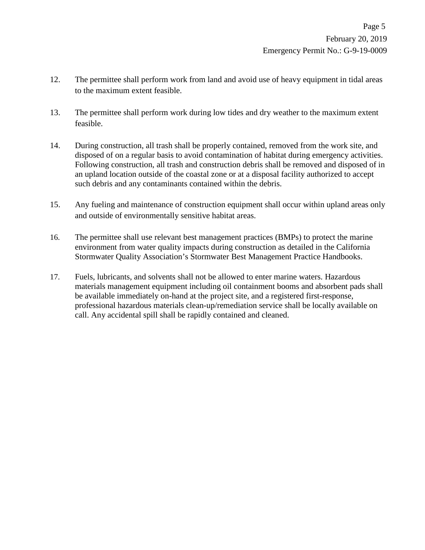- 12. The permittee shall perform work from land and avoid use of heavy equipment in tidal areas to the maximum extent feasible.
- 13. The permittee shall perform work during low tides and dry weather to the maximum extent feasible.
- 14. During construction, all trash shall be properly contained, removed from the work site, and disposed of on a regular basis to avoid contamination of habitat during emergency activities. Following construction, all trash and construction debris shall be removed and disposed of in an upland location outside of the coastal zone or at a disposal facility authorized to accept such debris and any contaminants contained within the debris.
- 15. Any fueling and maintenance of construction equipment shall occur within upland areas only and outside of environmentally sensitive habitat areas.
- 16. The permittee shall use relevant best management practices (BMPs) to protect the marine environment from water quality impacts during construction as detailed in the California Stormwater Quality Association's Stormwater Best Management Practice Handbooks.
- 17. Fuels, lubricants, and solvents shall not be allowed to enter marine waters. Hazardous materials management equipment including oil containment booms and absorbent pads shall be available immediately on-hand at the project site, and a registered first-response, professional hazardous materials clean-up/remediation service shall be locally available on call. Any accidental spill shall be rapidly contained and cleaned.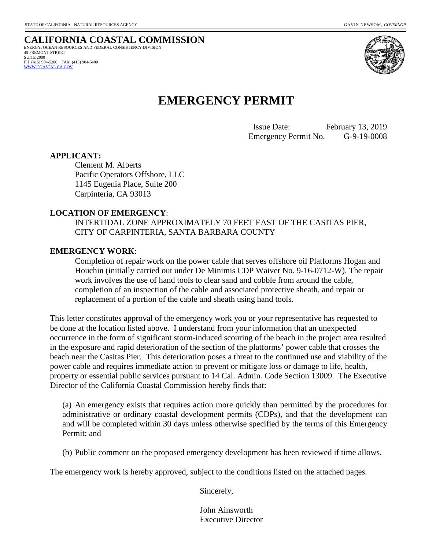**CALIFORNIA COASTAL COMMISSION** ENERGY, OCEAN RESOURCES AND FEDERAL CONSISTENCY DIVISION 45 FREMONT STREET SUITE 2000 PH (415) 904-5200 FAX (415) 904-5400  [WWW.COASTAL.CA.GOV](http://www.coastal.ca.gov/)



# **EMERGENCY PERMIT**

 Issue Date: February 13, 2019 Emergency Permit No. G-9-19-0008

#### **APPLICANT:**

Clement M. Alberts Pacific Operators Offshore, LLC 1145 Eugenia Place, Suite 200 Carpinteria, CA 93013

#### **LOCATION OF EMERGENCY**:

INTERTIDAL ZONE APPROXIMATELY 70 FEET EAST OF THE CASITAS PIER, CITY OF CARPINTERIA, SANTA BARBARA COUNTY

#### **EMERGENCY WORK**:

Completion of repair work on the power cable that serves offshore oil Platforms Hogan and Houchin (initially carried out under De Minimis CDP Waiver No. 9-16-0712-W). The repair work involves the use of hand tools to clear sand and cobble from around the cable, completion of an inspection of the cable and associated protective sheath, and repair or replacement of a portion of the cable and sheath using hand tools.

This letter constitutes approval of the emergency work you or your representative has requested to be done at the location listed above. I understand from your information that an unexpected occurrence in the form of significant storm-induced scouring of the beach in the project area resulted in the exposure and rapid deterioration of the section of the platforms' power cable that crosses the beach near the Casitas Pier. This deterioration poses a threat to the continued use and viability of the power cable and requires immediate action to prevent or mitigate loss or damage to life, health, property or essential public services pursuant to 14 Cal. Admin. Code Section 13009. The Executive Director of the California Coastal Commission hereby finds that:

(a) An emergency exists that requires action more quickly than permitted by the procedures for administrative or ordinary coastal development permits (CDPs), and that the development can and will be completed within 30 days unless otherwise specified by the terms of this Emergency Permit; and

(b) Public comment on the proposed emergency development has been reviewed if time allows.

The emergency work is hereby approved, subject to the conditions listed on the attached pages.

Sincerely,

John Ainsworth Executive Director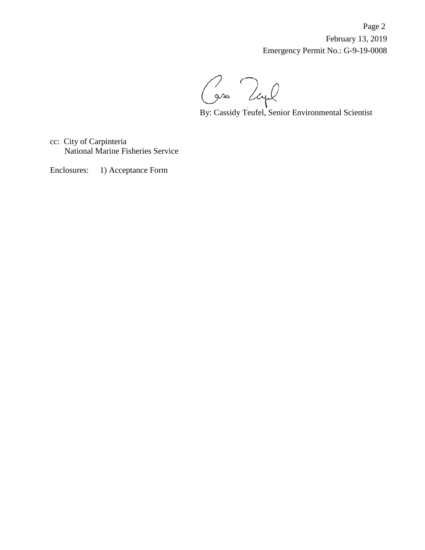Page 2 February 13, 2019 Emergency Permit No.: G-9-19-0008

By: Cassidy Teufel, Senior Environmental Scientist

cc: City of Carpinteria National Marine Fisheries Service

Enclosures: 1) Acceptance Form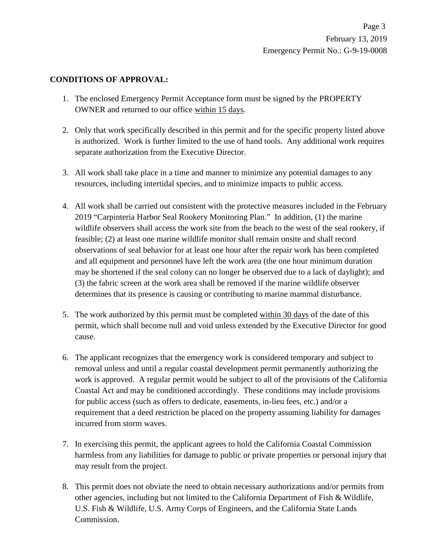## **CONDITIONS OF APPROVAL:**

- 1. The enclosed Emergency Permit Acceptance form must be signed by the PROPERTY OWNER and returned to our office within 15 days.
- 2. Only that work specifically described in this permit and for the specific property listed above is authorized. Work is further limited to the use of hand tools. Any additional work requires separate authorization from the Executive Director.
- 3. All work shall take place in a time and manner to minimize any potential damages to any resources, including intertidal species, and to minimize impacts to public access.
- 4. All work shall be carried out consistent with the protective measures included in the February 2019 "Carpinteria Harbor Seal Rookery Monitoring Plan." In addition, (1) the marine wildlife observers shall access the work site from the beach to the west of the seal rookery, if feasible; (2) at least one marine wildlife monitor shall remain onsite and shall record observations of seal behavior for at least one hour after the repair work has been completed and all equipment and personnel have left the work area (the one hour minimum duration may be shortened if the seal colony can no longer be observed due to a lack of daylight); and (3) the fabric screen at the work area shall be removed if the marine wildlife observer determines that its presence is causing or contributing to marine mammal disturbance.
- 5. The work authorized by this permit must be completed within 30 days of the date of this permit, which shall become null and void unless extended by the Executive Director for good cause.
- 6. The applicant recognizes that the emergency work is considered temporary and subject to removal unless and until a regular coastal development permit permanently authorizing the work is approved. A regular permit would be subject to all of the provisions of the California Coastal Act and may be conditioned accordingly. These conditions may include provisions for public access (such as offers to dedicate, easements, in-lieu fees, etc.) and/or a requirement that a deed restriction be placed on the property assuming liability for damages incurred from storm waves.
- 7. In exercising this permit, the applicant agrees to hold the California Coastal Commission harmless from any liabilities for damage to public or private properties or personal injury that may result from the project.
- 8. This permit does not obviate the need to obtain necessary authorizations and/or permits from other agencies, including but not limited to the California Department of Fish & Wildlife, U.S. Fish & Wildlife, U.S. Army Corps of Engineers, and the California State Lands Commission.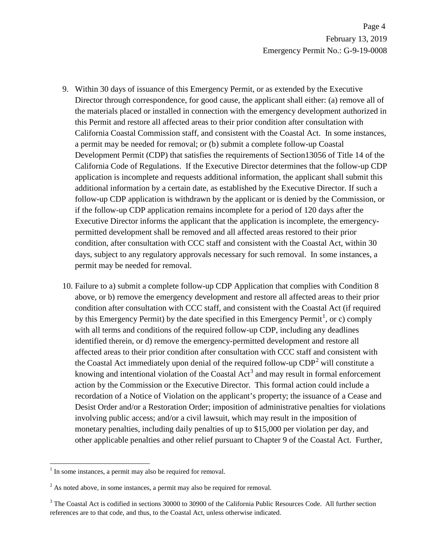- 9. Within 30 days of issuance of this Emergency Permit, or as extended by the Executive Director through correspondence, for good cause, the applicant shall either: (a) remove all of the materials placed or installed in connection with the emergency development authorized in this Permit and restore all affected areas to their prior condition after consultation with California Coastal Commission staff, and consistent with the Coastal Act. In some instances, a permit may be needed for removal; or (b) submit a complete follow-up Coastal Development Permit (CDP) that satisfies the requirements of Section13056 of Title 14 of the California Code of Regulations. If the Executive Director determines that the follow-up CDP application is incomplete and requests additional information, the applicant shall submit this additional information by a certain date, as established by the Executive Director. If such a follow-up CDP application is withdrawn by the applicant or is denied by the Commission, or if the follow-up CDP application remains incomplete for a period of 120 days after the Executive Director informs the applicant that the application is incomplete, the emergencypermitted development shall be removed and all affected areas restored to their prior condition, after consultation with CCC staff and consistent with the Coastal Act, within 30 days, subject to any regulatory approvals necessary for such removal. In some instances, a permit may be needed for removal.
- 10. Failure to a) submit a complete follow-up CDP Application that complies with Condition 8 above, or b) remove the emergency development and restore all affected areas to their prior condition after consultation with CCC staff, and consistent with the Coastal Act (if required by this Emergency Permit) by the date specified in this Emergency Permit<sup>[1](#page-16-0)</sup>, or c) comply with all terms and conditions of the required follow-up CDP, including any deadlines identified therein, or d) remove the emergency-permitted development and restore all affected areas to their prior condition after consultation with CCC staff and consistent with the Coastal Act immediately upon denial of the required follow-up  $CDP<sup>2</sup>$  $CDP<sup>2</sup>$  $CDP<sup>2</sup>$  will constitute a knowing and intentional violation of the Coastal Act<sup>[3](#page-16-2)</sup> and may result in formal enforcement action by the Commission or the Executive Director. This formal action could include a recordation of a Notice of Violation on the applicant's property; the issuance of a Cease and Desist Order and/or a Restoration Order; imposition of administrative penalties for violations involving public access; and/or a civil lawsuit, which may result in the imposition of monetary penalties, including daily penalties of up to \$15,000 per violation per day, and other applicable penalties and other relief pursuant to Chapter 9 of the Coastal Act. Further,

 $\overline{a}$ 

<span id="page-16-0"></span> $<sup>1</sup>$  In some instances, a permit may also be required for removal.</sup>

<span id="page-16-1"></span> $2^2$  As noted above, in some instances, a permit may also be required for removal.

<span id="page-16-2"></span><sup>&</sup>lt;sup>3</sup> The Coastal Act is codified in sections 30000 to 30900 of the California Public Resources Code. All further section references are to that code, and thus, to the Coastal Act, unless otherwise indicated.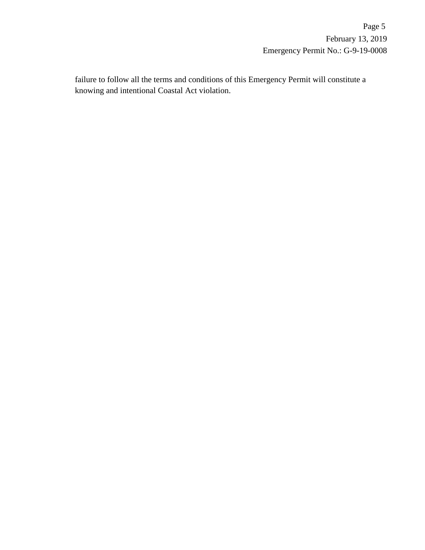failure to follow all the terms and conditions of this Emergency Permit will constitute a knowing and intentional Coastal Act violation.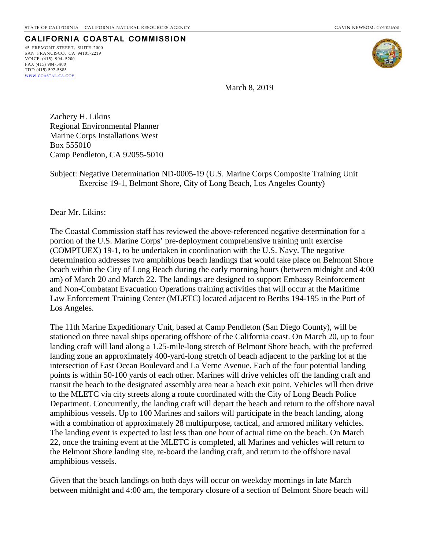# **CALIFORNIA COASTAL COMMISSION**

45 FREMONT STREET, SUITE 2000 SAN FRANCISCO, CA 94105-2219 VOICE (415) 904- 5200  $FAX (415) 904 - 5400$ TDD (415) 597-5885 WWW.COASTAL.CA.GOV



March 8, 2019

Zachery H. Likins Regional Environmental Planner Marine Corps Installations West Box 555010 Camp Pendleton, CA 92055-5010

Subject: Negative Determination ND-0005-19 (U.S. Marine Corps Composite Training Unit Exercise 19-1, Belmont Shore, City of Long Beach, Los Angeles County)

Dear Mr. Likins:

The Coastal Commission staff has reviewed the above-referenced negative determination for a portion of the U.S. Marine Corps' pre-deployment comprehensive training unit exercise (COMPTUEX) 19-1, to be undertaken in coordination with the U.S. Navy. The negative determination addresses two amphibious beach landings that would take place on Belmont Shore beach within the City of Long Beach during the early morning hours (between midnight and 4:00 am) of March 20 and March 22. The landings are designed to support Embassy Reinforcement and Non-Combatant Evacuation Operations training activities that will occur at the Maritime Law Enforcement Training Center (MLETC) located adjacent to Berths 194-195 in the Port of Los Angeles.

The 11th Marine Expeditionary Unit, based at Camp Pendleton (San Diego County), will be stationed on three naval ships operating offshore of the California coast. On March 20, up to four landing craft will land along a 1.25-mile-long stretch of Belmont Shore beach, with the preferred landing zone an approximately 400-yard-long stretch of beach adjacent to the parking lot at the intersection of East Ocean Boulevard and La Verne Avenue. Each of the four potential landing points is within 50-100 yards of each other. Marines will drive vehicles off the landing craft and transit the beach to the designated assembly area near a beach exit point. Vehicles will then drive to the MLETC via city streets along a route coordinated with the City of Long Beach Police Department. Concurrently, the landing craft will depart the beach and return to the offshore naval amphibious vessels. Up to 100 Marines and sailors will participate in the beach landing, along with a combination of approximately 28 multipurpose, tactical, and armored military vehicles. The landing event is expected to last less than one hour of actual time on the beach. On March 22, once the training event at the MLETC is completed, all Marines and vehicles will return to the Belmont Shore landing site, re-board the landing craft, and return to the offshore naval amphibious vessels.

Given that the beach landings on both days will occur on weekday mornings in late March between midnight and 4:00 am, the temporary closure of a section of Belmont Shore beach will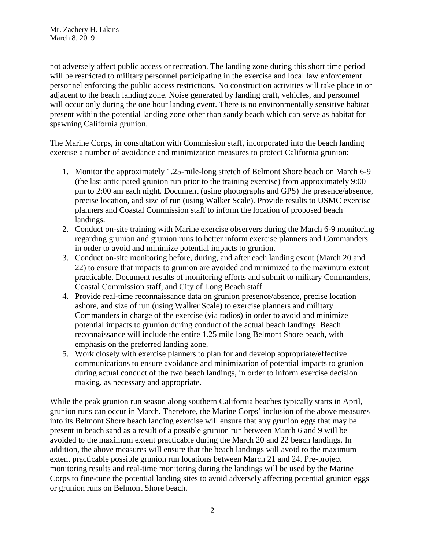not adversely affect public access or recreation. The landing zone during this short time period will be restricted to military personnel participating in the exercise and local law enforcement personnel enforcing the public access restrictions. No construction activities will take place in or adjacent to the beach landing zone. Noise generated by landing craft, vehicles, and personnel will occur only during the one hour landing event. There is no environmentally sensitive habitat present within the potential landing zone other than sandy beach which can serve as habitat for spawning California grunion.

The Marine Corps, in consultation with Commission staff, incorporated into the beach landing exercise a number of avoidance and minimization measures to protect California grunion:

- 1. Monitor the approximately 1.25-mile-long stretch of Belmont Shore beach on March 6-9 (the last anticipated grunion run prior to the training exercise) from approximately 9:00 pm to 2:00 am each night. Document (using photographs and GPS) the presence/absence, precise location, and size of run (using Walker Scale). Provide results to USMC exercise planners and Coastal Commission staff to inform the location of proposed beach landings.
- 2. Conduct on-site training with Marine exercise observers during the March 6-9 monitoring regarding grunion and grunion runs to better inform exercise planners and Commanders in order to avoid and minimize potential impacts to grunion.
- 3. Conduct on-site monitoring before, during, and after each landing event (March 20 and 22) to ensure that impacts to grunion are avoided and minimized to the maximum extent practicable. Document results of monitoring efforts and submit to military Commanders, Coastal Commission staff, and City of Long Beach staff.
- 4. Provide real-time reconnaissance data on grunion presence/absence, precise location ashore, and size of run (using Walker Scale) to exercise planners and military Commanders in charge of the exercise (via radios) in order to avoid and minimize potential impacts to grunion during conduct of the actual beach landings. Beach reconnaissance will include the entire 1.25 mile long Belmont Shore beach, with emphasis on the preferred landing zone.
- 5. Work closely with exercise planners to plan for and develop appropriate/effective communications to ensure avoidance and minimization of potential impacts to grunion during actual conduct of the two beach landings, in order to inform exercise decision making, as necessary and appropriate.

While the peak grunion run season along southern California beaches typically starts in April, grunion runs can occur in March. Therefore, the Marine Corps' inclusion of the above measures into its Belmont Shore beach landing exercise will ensure that any grunion eggs that may be present in beach sand as a result of a possible grunion run between March 6 and 9 will be avoided to the maximum extent practicable during the March 20 and 22 beach landings. In addition, the above measures will ensure that the beach landings will avoid to the maximum extent practicable possible grunion run locations between March 21 and 24. Pre-project monitoring results and real-time monitoring during the landings will be used by the Marine Corps to fine-tune the potential landing sites to avoid adversely affecting potential grunion eggs or grunion runs on Belmont Shore beach.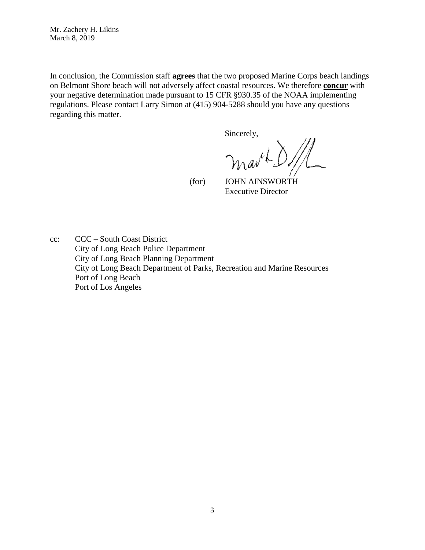Mr. Zachery H. Likins March 8, 2019

In conclusion, the Commission staff **agrees** that the two proposed Marine Corps beach landings on Belmont Shore beach will not adversely affect coastal resources. We therefore **concur** with your negative determination made pursuant to 15 CFR §930.35 of the NOAA implementing regulations. Please contact Larry Simon at (415) 904-5288 should you have any questions regarding this matter.

Sincerely,

mark.

 (for) JOHN AINSWORTH Executive Director

cc: CCC – South Coast District City of Long Beach Police Department City of Long Beach Planning Department City of Long Beach Department of Parks, Recreation and Marine Resources Port of Long Beach Port of Los Angeles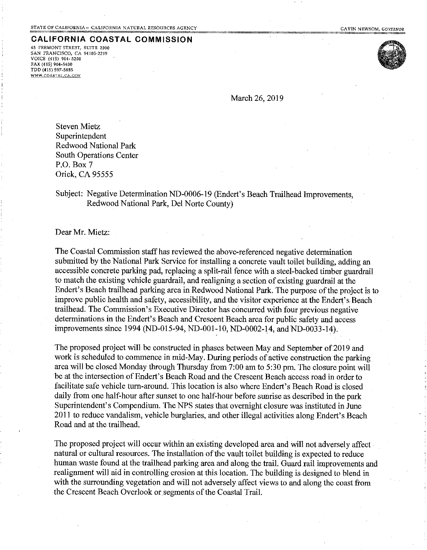### **CALIFORNIA COASTAL COMMISSION**

45 FREMONT STREET, SUITE 2000 SAN FRANCISCO, CA 94105-2219 VOICE (415) 904-5200 FAX (415) 904-5400 TDD (415) 597-5885 WWW.COASTAL.CA.GOV



March 26, 2019

**Steven Mietz** Superintendent Redwood National Park South Operations Center P.O. Box 7 Orick, CA 95555

### Subiect: Negative Determination ND-0006-19 (Endert's Beach Trailhead Improvements, Redwood National Park, Del Norte County)

Dear Mr. Mietz:

The Coastal Commission staff has reviewed the above-referenced negative determination submitted by the National Park Service for installing a concrete vault toilet building, adding an accessible concrete parking pad, replacing a split-rail fence with a steel-backed timber guardrail to match the existing vehicle guardrail, and realigning a section of existing guardrail at the Endert's Beach trailhead parking area in Redwood National Park. The purpose of the project is to improve public health and safety, accessibility, and the visitor experience at the Endert's Beach trailhead. The Commission's Executive Director has concurred with four previous negative determinations in the Endert's Beach and Crescent Beach area for public safety and access improvements since 1994 (ND-015-94, ND-001-10, ND-0002-14, and ND-0033-14).

The proposed project will be constructed in phases between May and September of 2019 and work is scheduled to commence in mid-May. During periods of active construction the parking area will be closed Monday through Thursday from 7:00 am to 5:30 pm. The closure point will be at the intersection of Endert's Beach Road and the Crescent Beach access road in order to facilitate safe vehicle turn-around. This location is also where Endert's Beach Road is closed daily from one half-hour after sunset to one half-hour before sunrise as described in the park Superintendent's Compendium. The NPS states that overnight closure was instituted in June 2011 to reduce vandalism, vehicle burglaries, and other illegal activities along Endert's Beach Road and at the trailhead.

The proposed project will occur within an existing developed area and will not adversely affect natural or cultural resources. The installation of the vault toilet building is expected to reduce human waste found at the trailhead parking area and along the trail. Guard rail improvements and realignment will aid in controlling erosion at this location. The building is designed to blend in with the surrounding vegetation and will not adversely affect views to and along the coast from the Crescent Beach Overlook or segments of the Coastal Trail.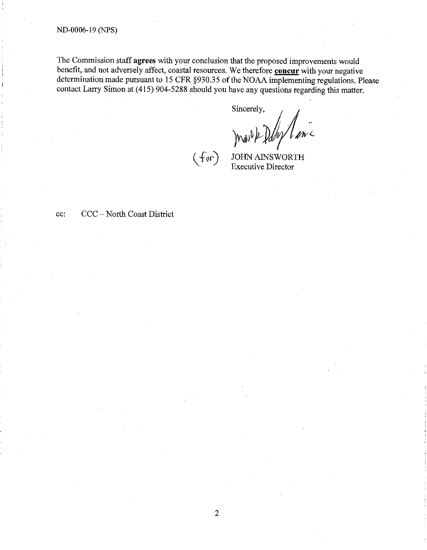The Commission staff agrees with your conclusion that the proposed improvements would benefit, and not adversely affect, coastal resources. We therefore concur with your negative determination made pursuant to 15 CFR §930.35 of the NOAA implementing regulations. Please contact Larry Simon at (415) 904-5288 should you have any questions regarding this matter.

Sincerely,

 $(f_{\emptyset} \cap)$ 

**JOHN AINSWORTH Executive Director** 

CCC - North Coast District cc: